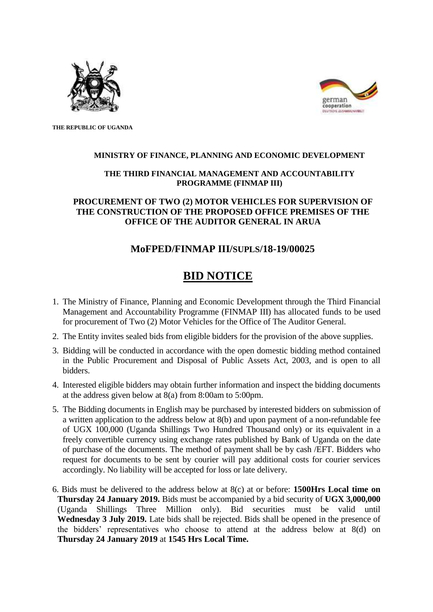



**THE REPUBLIC OF UGANDA**

### **MINISTRY OF FINANCE, PLANNING AND ECONOMIC DEVELOPMENT**

### **THE THIRD FINANCIAL MANAGEMENT AND ACCOUNTABILITY PROGRAMME (FINMAP III)**

## **PROCUREMENT OF TWO (2) MOTOR VEHICLES FOR SUPERVISION OF THE CONSTRUCTION OF THE PROPOSED OFFICE PREMISES OF THE OFFICE OF THE AUDITOR GENERAL IN ARUA**

# **MoFPED/FINMAP III/SUPLS/18-19/00025**

# **BID NOTICE**

- 1. The Ministry of Finance, Planning and Economic Development through the Third Financial Management and Accountability Programme (FINMAP III) has allocated funds to be used for procurement of Two (2) Motor Vehicles for the Office of The Auditor General.
- 2. The Entity invites sealed bids from eligible bidders for the provision of the above supplies.
- 3. Bidding will be conducted in accordance with the open domestic bidding method contained in the Public Procurement and Disposal of Public Assets Act, 2003, and is open to all bidders.
- 4. Interested eligible bidders may obtain further information and inspect the bidding documents at the address given below at 8(a) from 8:00am to 5:00pm.
- 5. The Bidding documents in English may be purchased by interested bidders on submission of a written application to the address below at 8(b) and upon payment of a non-refundable fee of UGX 100,000 (Uganda Shillings Two Hundred Thousand only) or its equivalent in a freely convertible currency using exchange rates published by Bank of Uganda on the date of purchase of the documents. The method of payment shall be by cash /EFT. Bidders who request for documents to be sent by courier will pay additional costs for courier services accordingly. No liability will be accepted for loss or late delivery.
- 6. Bids must be delivered to the address below at 8(c) at or before: **1500Hrs Local time on Thursday 24 January 2019.** Bids must be accompanied by a bid security of **UGX 3,000,000** (Uganda Shillings Three Million only). Bid securities must be valid until **Wednesday 3 July 2019.** Late bids shall be rejected. Bids shall be opened in the presence of the bidders' representatives who choose to attend at the address below at 8(d) on **Thursday 24 January 2019** at **1545 Hrs Local Time.**